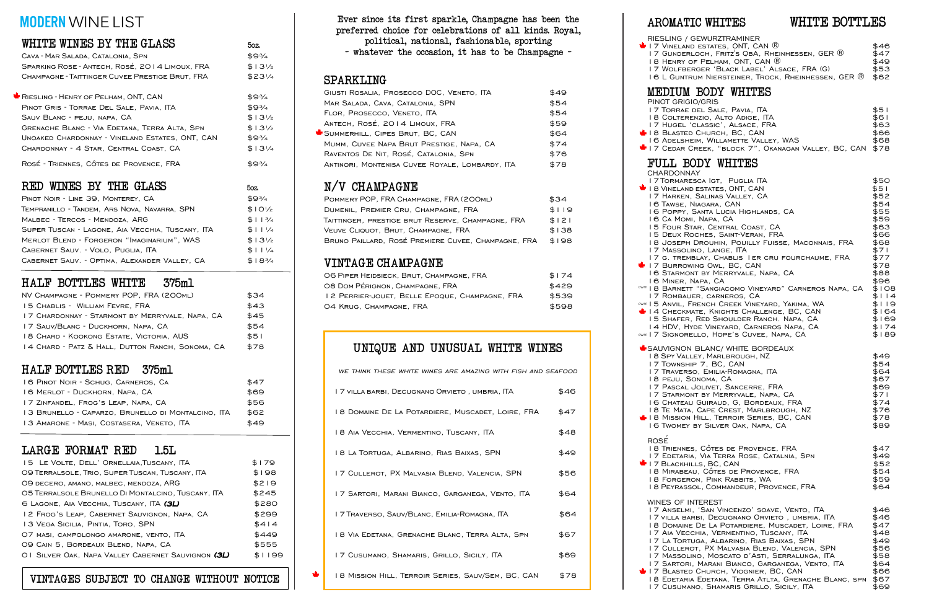| CAVA - MAR SALADA, CATALONIA, SPN               | \$9¾             |
|-------------------------------------------------|------------------|
| SPARKING ROSE - ANTECH, ROSÉ, 2014 LIMOUX, FRA  | $$13\frac{1}{2}$ |
| CHAMPAGNE - TAITTINGER CUVEE PRESTIGE BRUT, FRA | $$23\%$          |
|                                                 |                  |
| RIESLING - HENRY OF PELHAM, ONT, CAN            | \$9¾             |
| PINOT GRIS - TORRAE DEL SALE, PAVIA, ITA        | \$9¾             |
| SAUV BLANC - PEJU, NAPA, CA                     | $$13\%$          |
| GRENACHE BLANC - VIA EDETANA, TERRA ALTA, SPN   | $$13\%$          |
| UNOAKED CHARDONNAY - VINELAND ESTATES, ONT, CAN | \$9¾             |

CHARDONNAY - 4 STAR, CENTRAL COAST, CA  $$13\frac{1}{4}$ 

ROSÉ - TRIENNES, CÔTES DE PROVENCE, FRA  $$9\frac{3}{4}$ 

## RED WINES BY THE GLASS  $50\text{ z}$

| PINOT NOIR - LINE 39, MONTEREY, CA               | \$9¾             |
|--------------------------------------------------|------------------|
|                                                  |                  |
| TEMPRANILLO - TANDEM, ARS NOVA, NAVARRA, SPN     | $$10\frac{1}{2}$ |
| MALBEC - TERCOS - MENDOZA, ARG                   | \$113/4          |
| SUPER TUSCAN - LAGONE, AIA VECCHIA, TUSCANY, ITA | $$11\frac{1}{4}$ |
| MERLOT BLEND - FORGERON "IMAGINARIUM", WAS       | $$13\frac{1}{2}$ |
| CABERNET SAUV. - VOLO, PUGLIA, ITA               | $$11\frac{1}{4}$ |
| CABERNET SAUV. - OPTIMA, ALEXANDER VALLEY, CA    | $$18\frac{3}{4}$ |

# HALF BOTTLES WHITE 375ml

| NV CHAMPAGNE - POMMERY POP, FRA (200ML)          | \$34 |
|--------------------------------------------------|------|
| 15 CHABLIS - WILLIAM FEVRE, FRA                  | \$43 |
| 17 CHARDONNAY - STARMONT BY MERRYVALE, NAPA, CA  | \$45 |
| 17 SAUV/BLANC - DUCKHORN, NAPA, CA               | \$54 |
| 18 CHARD - KOOKONG ESTATE, VICTORIA, AUS         | \$51 |
| 14 CHARD - PATZ & HALL, DUTTON RANCH, SONOMA, CA | \$78 |

| 16 PINOT NOIR - SCHUG, CARNEROS, CA                | \$47 |
|----------------------------------------------------|------|
| 16 MERLOT - DUCKHORN, NAPA, CA                     | \$69 |
| 17 ZINFANDEL, FROG'S LEAP, NAPA, CA                | \$56 |
| 13 Brunello - Caparzo, Brunello di Montalcino, ITA | \$62 |
| 13 AMARONE - MASI, COSTASERA, VENETO, ITA          | \$49 |

# HALF BOTTLES RED 375ml

| 15 LE VOLTE, DELL' ORNELLAIA, TUSCANY, ITA                 | \$179  |
|------------------------------------------------------------|--------|
| O9 TERRALSOLE, TRIO, SUPER TUSCAN, TUSCANY, ITA            | \$198  |
| O9 DECERO, AMANO, MALBEC, MENDOZA, ARG                     | \$219  |
| 05 TERRALSOLE BRUNELLO DI MONTALCINO, TUSCANY, ITA         | \$245  |
| 6 LAGONE, AIA VECCHIA, TUSCANY, ITA (3L)                   | \$280  |
| 12 Frog's Leap, Cabernet Sauvignon, Napa, CA               | \$299  |
| 13 VEGA SICILIA, PINTIA, TORO, SPN                         | \$414  |
| O7 MASI, CAMPOLONGO AMARONE, VENTO, ITA                    | \$449  |
| 09 CAIN 5, BORDEAUX BLEND, NAPA, CA                        | \$555  |
| OI SILVER OAK, NAPA VALLEY CABERNET SAUVIGNON ( <b>3L)</b> | \$1199 |
|                                                            |        |

# LARGE FORMAT RED 1.5L

# VINTAGE CHAMPAGNE

| O6 PIPER HEIDSIECK, BRUT, CHAMPAGNE, FRA       | \$174 |
|------------------------------------------------|-------|
| 08 Dom Pérignon, Champagne, FRA                | \$429 |
| 12 PERRIER-JOUET, BELLE EPOOUE, CHAMPAGNE, FRA | \$539 |
| 04 Krug, Champagne, FRA                        | \$598 |

Ever since its first sparkle, Champagne has been the preferred choice for celebrations of all kinds. Royal, political, national, fashionable, sporting – whatever the occasion, it has to be Champagne –

| POMMERY POP, FRA CHAMPAGNE, FRA (200ML)             | \$34  |
|-----------------------------------------------------|-------|
| DUMENIL, PREMIER CRU, CHAMPAGNE, FRA                | \$119 |
| TAITTINGER, PRESTIGE BRUT RESERVE, CHAMPAGNE, FRA   | \$121 |
| VEUVE CLIQUOT, BRUT, CHAMPAGNE, FRA                 | \$138 |
| BRUNO PAILLARD, ROSÉ PREMIERE CUVEE, CHAMPAGNE, FRA | \$198 |

| GIUSTI ROSALIA, PROSECCO DOC, VENETO, ITA       | \$49 |
|-------------------------------------------------|------|
| MAR SALADA, CAVA, CATALONIA, SPN                | \$54 |
| FLOR, PROSECCO, VENETO, ITA                     | \$54 |
| ANTECH, ROSÉ, 2014 LIMOUX, FRA                  | \$59 |
| SUMMERHILL, CIPES BRUT, BC, CAN                 | \$64 |
| MUMM, CUVEE NAPA BRUT PRESTIGE, NAPA, CA        | \$74 |
| RAVENTOS DE NIT, ROSÉ, CATALONIA, SPN           | \$76 |
| ANTINORI, MONTENISA CUVEE ROYALE, LOMBARDY, ITA | \$78 |
|                                                 |      |

## SPARKLING

# N/V CHAMPAGNE

| <b>CHARDONNAY</b>                                                                                                                                                                                                                                                                                                                                                                                                                                                                                                                                                                                                                                                                                                                                                                                                                       |                                                                                                                                                                              |
|-----------------------------------------------------------------------------------------------------------------------------------------------------------------------------------------------------------------------------------------------------------------------------------------------------------------------------------------------------------------------------------------------------------------------------------------------------------------------------------------------------------------------------------------------------------------------------------------------------------------------------------------------------------------------------------------------------------------------------------------------------------------------------------------------------------------------------------------|------------------------------------------------------------------------------------------------------------------------------------------------------------------------------|
| I 7 TORMARESCA IGT, PUGLIA ITA<br>I B VINELAND ESTATES, ONT, CAN<br>17 HARKEN, SALINAS VALLEY, CA<br>16 TAWSE, NIAGARA, CAN<br>16 POPPY, SANTA LUCIA HIGHLANDS, CA<br>16 Ca Momi, Napa, CA<br>15 FOUR STAR, CENTRAL COAST, CA<br>15 DEUX ROCHES, SAINT-VERAN, FRA<br>18 JOSEPH DROUHIN, POUILLY FUISSE, MACONNAIS, FRA<br>17 MASSOLINO, LANGE, ITA<br>17 G. TREMBLAY, CHABLIS I ER CRU FOURCHAUME, FRA<br>17 BURROWING OWL, BC, CAN<br>16 STARMONT BY MERRYVALE, NAPA, CA<br>16 MINER, NAPA, CA<br><sup>cwm</sup> I 8 Barnett "Sangiacomo Vineyard" Carneros Napa, CA<br>17 ROMBAUER, CARNEROS, CA<br>CWM I 5 ANVIL, FRENCH CREEK VINEYARD, YAKIMA, WA<br>14 CHECKMATE, KNIGHTS CHALLENGE, BC, CAN<br>15 SHAFER, RED SHOULDER RANCH. NAPA, CA<br>14 HDV, HYDE VINEYARD, CARNEROS NAPA, CA<br>cwm   7 SIGNORELLO, HOPE'S CUVEE, NAPA, CA | \$50<br>\$51<br>\$52<br>\$54<br>\$55<br>\$59<br>\$63<br>\$66<br>\$68<br>\$7 I<br>\$77<br>\$78<br>\$88<br>\$96<br>\$108<br>\$114<br>\$119<br>\$164<br>\$169<br>\$174<br>\$189 |
| SAUVIGNON BLANC/ WHITE BORDEAUX<br><b>18 SPY VALLEY, MARLBROUGH, NZ</b><br>17 TOWNSHIP 7, BC, CAN<br>17 TRAVERSO, EMILIA-ROMAGNA, ITA<br>18 PEJU, SONOMA, CA<br>17 PASCAL JOLIVET, SANCERRE, FRA<br>17 STARMONT BY MERRYVALE, NAPA, CA<br>16 CHATEAU GUIRAUD, G, BORDEAUX, FRA<br>18 TE MATA, CAPE CREST, MARLBROUGH, NZ<br>I B MISSION HILL, TERROIR SERIES, BC, CAN<br>16 Twomey by Silver Oak, Napa, CA                                                                                                                                                                                                                                                                                                                                                                                                                              | \$49<br>\$54<br>\$64<br>\$67<br>\$69<br>\$7 I<br>\$74<br>\$76<br>\$78<br>\$89                                                                                                |
| <b>ROSE</b><br>18 TRIENNES, CÔTES DE PROVENCE, FRA<br>17 EDETARIA, VIA TERRA ROSE, CATALNIA, SPN<br>I 7 BLACKHILLS, BC, CAN<br>18 MIRABEAU, CÔTES DE PROVENCE, FRA<br>18 FORGERON, PINK RABBITS, WA<br>18 PEYRASSOL, COMMANDEUR, PROVENCE, FRA                                                                                                                                                                                                                                                                                                                                                                                                                                                                                                                                                                                          | \$47<br>\$49<br>\$52<br>\$54<br>\$59<br>\$64                                                                                                                                 |
| <b>WINES OF INTEREST</b><br>17 ANSELMI, 'SAN VINCENZO' SOAVE, VENTO, ITA<br>I 7 villa barbi, Decugnano Orvieto , umbria, ITA<br>18 DOMAINE DE LA POTARDIERE, MUSCADET, LOIRE, FRA<br>I 7 AIA VECCHIA, VERMENTINO, TUSCANY, ITA<br>17 LA TORTUGA, ALBARINO, RIAS BAIXAS, SPN<br>I 7 CULLEROT, PX MALVASIA BLEND, VALENCIA, SPN<br>I 7 MASSOLINO, MOSCATO D'ASTI, SERRALUNGA, ITA<br>I 7 Sartori, Marani Bianco, Garganega, Vento, ITA<br><b>U</b> 17 BLASTED CHURCH, VIOGNIER, BC, CAN<br>18 EDETARIA EDETANA, TERRA ATLTA, GRENACHE BLANC, SPN                                                                                                                                                                                                                                                                                          | \$46<br>\$46<br>\$47<br>\$48<br>\$49<br>\$56<br>\$58<br>\$64<br>\$66<br>\$67                                                                                                 |

# MODERN WINE LIST

# WHITE WINES BY THE GLASS  $_{50z}$ .

# UNIQUE AND UNUSUAL WHITE WINES

| WE THINK THESE WHITE WINES ARE AMAZING WITH FISH AND SEAFOOD |      |
|--------------------------------------------------------------|------|
| I 7 VILLA BARBI, DECUGNANO ORVIETO , UMBRIA, ITA I           | \$46 |
| 18 DOMAINE DE LA POTARDIERE, MUSCADET, LOIRE, FRA            | \$47 |
| 18 AIA VECCHIA, VERMENTINO, TUSCANY, ITA                     | \$48 |
| 18 LA TORTUGA, ALBARINO, RIAS BAIXAS, SPN                    | \$49 |
| 17 CULLEROT, PX MALVASIA BLEND, VALENCIA, SPN                | \$56 |
| 17 SARTORI, MARANI BIANCO, GARGANEGA, VENTO, ITA             | \$64 |
| I 7 TRAVERSO, SAUV/BLANC, EMILIA-ROMAGNA, ITA                | \$64 |
| 18 VIA EDETANA, GRENACHE BLANC, TERRA ALTA, SPN              | \$67 |
| 17 CUSUMANO, SHAMARIS, GRILLO, SICILY, ITA                   | \$69 |
| 18 MISSION HILL, TERROIR SERIES, SAUV/SEM, BC, CAN           | \$78 |

#### 18 MIRAB  $+17$  BLASTI 18 Edetaria Edetana, Terra Atlta, Grenache Blanc, spn \$67  $+17$  BLACK 18 FORGE 17 ANSEL 17 AIA VE 17 CUSUMANO, SHAMARIS GRILLO, SICILY, ITA 17 Masso  $17$  La Tortugal,  $17$ 18 PEYRAS 18 DOMA WINES OF  $17$  villa 17 CULLE 17 SARTO AROMATIC WHITES WHITE BOTTLES **RIESLING**  $+ 17$  Vinel 16 MINER 17 HARKE  $18$  BLAST 17 TORMA PINOT GRIGIO/GRIS  $17 G.$  TRE  $17$  CEDAR MEDIUM BODY WHITES 16 ADELS 17 Hugel  $16 L$  Gun 18 COLTE FULL BODY WHITES  $18$  VINELA 16 Poppy 15 DEUX 18 JOSEF 17 Masso **CHARDON** 17 TORRA 17 WOLF 17 GUNDE  $16$  Ca  $Mc$  $15$  Four  $+17$  Burrow 16 STARM 18 HENRY 16 TAWSE 18 TE MA  $\bigstar$  SAUVIGNO ROSÉ 17 EDETA 15 SHAFE  $14$  HDV,  $18$  PEJU. 17 STARM 16 Twome 17 ROMBA 18 TRIENN 17 Towns 18 SPY VA 17 TRAVER 16 CHATE.  $18$  Missic 17 Pasca  $14$  Check

| / GEWURZTRAMINER                                                          |      |
|---------------------------------------------------------------------------|------|
| and estates, ONT, CAN $\circledR$                                         | \$46 |
| ERLOCH, FRITZ'S QBA, RHEINHESSEN, GER $\textcircled{\R}$                  | \$47 |
| $\kappa$ of Pelham, ONT, CAN $\circledR$                                  | \$49 |
| berger 'Black Label' Alsace, FRA (G)                                      | \$53 |
| itrum Niersteiner, Trock, Rheinhessen, GER $\textcircled{\scriptsize{R}}$ | \$62 |
|                                                                           |      |

| בואט/טוטו                                         |      |
|---------------------------------------------------|------|
| AE DEL SALE. PAVIA. ITA                           | \$51 |
| erenzio. Alto Adige. ITA                          | \$61 |
| L 'CLASSIC', ALSACE, FRA                          | \$63 |
| red Снивсн. BC. CAN                               | \$66 |
| sheim, Willamette Valley, WAS                     | \$68 |
| r Creek,"block 7", Okanagan Valley, BC, CAN  \$78 |      |
|                                                   |      |

# VINTAGES SUBJECT TO CHANGE WITHOUT NOTICE